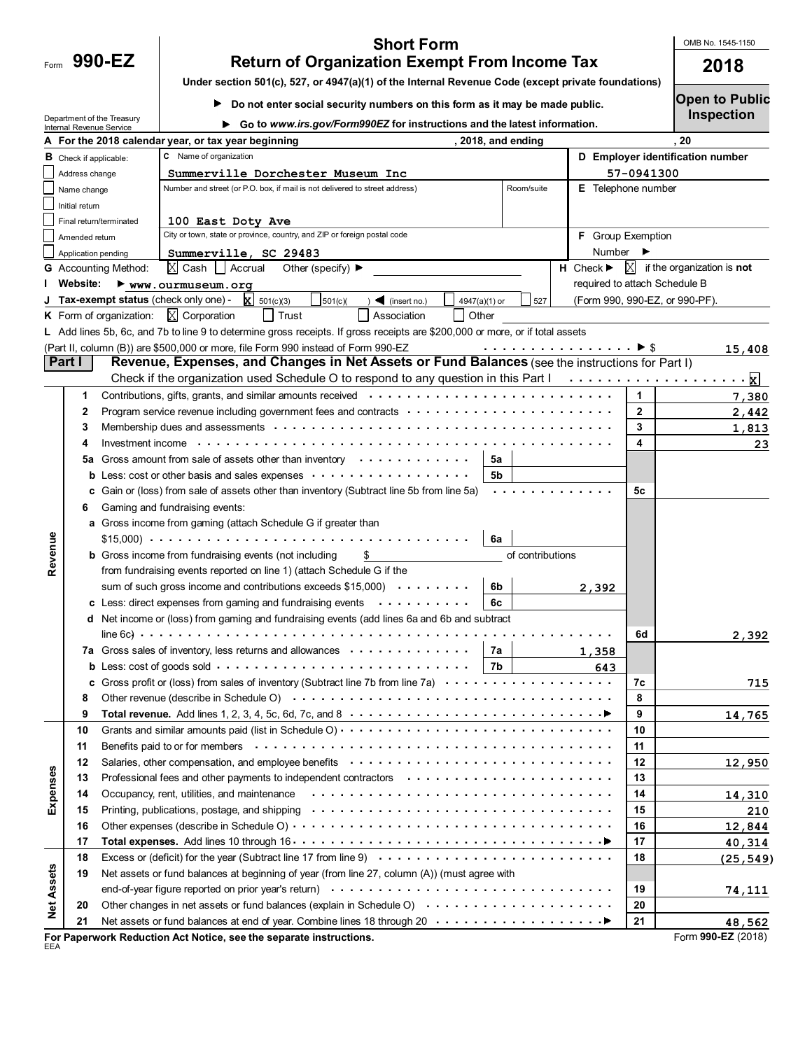| Form | $990 -$ |  |  |  |
|------|---------|--|--|--|
|      |         |  |  |  |

Department of the Treasury

## **990-EZ 2018 Return of Organization Exempt From Income Tax Short Form**

OMB No. 1545-1150

**Under section 501(c), 527, or 4947(a)(1) of the Internal Revenue Code (except private foundations)**

**Do not enter social security numbers on this form as it may be made public.** 

**Go to** *www.irs.gov/Form990EZ* **for instructions and the latest information.**

**Open to Public Inspection**

| 20<br>A For the 2018 calendar year, or tax year beginning<br>, 2018, and ending<br>C Name of organization<br>D Employer identification number<br><b>B</b> Check if applicable:<br>Address change<br>Summerville Dorchester Museum Inc<br>57-0941300<br>Number and street (or P.O. box, if mail is not delivered to street address)<br>Room/suite<br><b>E</b> Telephone number<br>Name change<br>Initial return<br>100 East Doty Ave<br>Final return/terminated<br>City or town, state or province, country, and ZIP or foreign postal code<br><b>F</b> Group Exemption<br>Amended return<br>Number<br>Application pending<br>Summerville, SC 29483<br>$\mathbb{X}$ Cash $\mathbb{L}$ Accrual<br>$X$ if the organization is <b>not</b><br>Other (specify) $\blacktriangleright$<br>$H$ Check $\blacktriangleright$<br><b>G</b> Accounting Method:<br>I Website:<br>required to attach Schedule B<br>www.ourmuseum.org<br>J Tax-exempt status (check only one) -<br>$\mathbf{X}$ 501(c)(3)<br>501(c)<br>(Form 990, 990-EZ, or 990-PF).<br>$\triangleleft$ (insert no.)<br>4947(a)(1) or<br>527<br><b>K</b> Form of organization: $X$ Corporation<br>Trust<br>Association<br>Other<br>L Add lines 5b, 6c, and 7b to line 9 to determine gross receipts. If gross receipts are \$200,000 or more, or if total assets<br>(Part II, column (B)) are \$500,000 or more, file Form 990 instead of Form 990-EZ<br><u>15,408</u><br>Revenue, Expenses, and Changes in Net Assets or Fund Balances (see the instructions for Part I)<br>Part I<br>Check if the organization used Schedule O to respond to any question in this Part $1, \ldots, \ldots, \ldots, \ldots, \ldots, \chi$<br>1<br>1<br>7,380<br>$\mathbf{2}$<br>2<br>2,442<br>Membership dues and assessments with the content of the content of the content of the membership dues and assessments with the content of the content of the content of the content of the content of the content of the conte<br>3<br>3<br><u>1,813</u><br>Investment income (a) and a contract of the contract of the contract of the contract of the contract of the contract of the contract of the contract of the contract of the contract of the contract of the contract of the co<br>4<br>4<br>23<br>Gross amount from sale of assets other than inventory $\cdots \cdots \cdots$<br>5а<br>5а<br><b>b</b> Less: cost or other basis and sales expenses $\cdots \cdots \cdots \cdots \cdots \cdots$<br>5b<br>c Gain or (loss) from sale of assets other than inventory (Subtract line 5b from line 5a)<br>5с<br>Gaming and fundraising events:<br>6<br>a Gross income from gaming (attach Schedule G if greater than<br>Revenue<br>6a<br><b>b</b> Gross income from fundraising events (not including<br>of contributions<br>\$<br>from fundraising events reported on line 1) (attach Schedule G if the<br>sum of such gross income and contributions exceeds $$15,000$<br>6b<br>2,392<br>c Less: direct expenses from gaming and fundraising events $\cdots$ ,,,,,,,,<br>6c<br>d Net income or (loss) from gaming and fundraising events (add lines 6a and 6b and subtract<br>6d<br>2,392<br>7a Gross sales of inventory, less returns and allowances<br>7a<br>1,358<br>7b<br>643<br>c Gross profit or (loss) from sales of inventory (Subtract line 7b from line 7a) $\cdots \cdots \cdots \cdots \cdots$<br>7с<br>715<br>8<br>9<br>9<br>14,765<br>10<br>10<br>11<br>11<br>12<br>12<br>12,950<br>Expenses<br>Professional fees and other payments to independent contractors enters on the state of the state of the Professional fees and other payments to independent contractors of the state of the state of the state of the state of<br>13<br>13<br>Occupancy, rent, utilities, and maintenance<br>14<br>14<br>14,310<br>15<br>15<br>210<br>16<br>16<br>12,844<br>17<br>17<br>40,314<br>18<br>18<br><b>Net Assets</b><br>Net assets or fund balances at beginning of year (from line 27, column (A)) (must agree with<br>19<br>19<br>74,111<br>Other changes in net assets or fund balances (explain in Schedule O) $\cdots$<br>20<br>20<br>21<br>21<br>48,562<br>Form 990-EZ (2018)<br>For Paperwork Reduction Act Notice, see the separate instructions.<br>EEA | <b>Internal Revenue Service</b> | $\bullet$ Go to www.irs.gov/Formasocz for instructions and the latest imormation. |  |  |  |  |  |
|--------------------------------------------------------------------------------------------------------------------------------------------------------------------------------------------------------------------------------------------------------------------------------------------------------------------------------------------------------------------------------------------------------------------------------------------------------------------------------------------------------------------------------------------------------------------------------------------------------------------------------------------------------------------------------------------------------------------------------------------------------------------------------------------------------------------------------------------------------------------------------------------------------------------------------------------------------------------------------------------------------------------------------------------------------------------------------------------------------------------------------------------------------------------------------------------------------------------------------------------------------------------------------------------------------------------------------------------------------------------------------------------------------------------------------------------------------------------------------------------------------------------------------------------------------------------------------------------------------------------------------------------------------------------------------------------------------------------------------------------------------------------------------------------------------------------------------------------------------------------------------------------------------------------------------------------------------------------------------------------------------------------------------------------------------------------------------------------------------------------------------------------------------------------------------------------------------------------------------------------------------------------------------------------------------------------------------------------------------------------------------------------------------------------------------------------------------------------------------------------------------------------------------------------------------------------------------------------------------------------------------------------------------------------------------------------------------------------------------------------------------------------------------------------------------------------------------------------------------------------------------------------------------------------------------------------------------------------------------------------------------------------------------------------------------------------------------------------------------------------------------------------------------------------------------------------------------------------------------------------------------------------------------------------------------------------------------------------------------------------------------------------------------------------------------------------------------------------------------------------------------------------------------------------------------------------------------------------------------------------------------------------------------------------------------------------------------------------------------------------------------------------------------------------------------------------------------------------------------------------------------------------------------------------------------------------------------------------------------------------------------------------------------------------------------------------------------------------------------------------------------------------------------------------------------------------------------------------|---------------------------------|-----------------------------------------------------------------------------------|--|--|--|--|--|
|                                                                                                                                                                                                                                                                                                                                                                                                                                                                                                                                                                                                                                                                                                                                                                                                                                                                                                                                                                                                                                                                                                                                                                                                                                                                                                                                                                                                                                                                                                                                                                                                                                                                                                                                                                                                                                                                                                                                                                                                                                                                                                                                                                                                                                                                                                                                                                                                                                                                                                                                                                                                                                                                                                                                                                                                                                                                                                                                                                                                                                                                                                                                                                                                                                                                                                                                                                                                                                                                                                                                                                                                                                                                                                                                                                                                                                                                                                                                                                                                                                                                                                                                                                                                                    |                                 |                                                                                   |  |  |  |  |  |
|                                                                                                                                                                                                                                                                                                                                                                                                                                                                                                                                                                                                                                                                                                                                                                                                                                                                                                                                                                                                                                                                                                                                                                                                                                                                                                                                                                                                                                                                                                                                                                                                                                                                                                                                                                                                                                                                                                                                                                                                                                                                                                                                                                                                                                                                                                                                                                                                                                                                                                                                                                                                                                                                                                                                                                                                                                                                                                                                                                                                                                                                                                                                                                                                                                                                                                                                                                                                                                                                                                                                                                                                                                                                                                                                                                                                                                                                                                                                                                                                                                                                                                                                                                                                                    |                                 |                                                                                   |  |  |  |  |  |
|                                                                                                                                                                                                                                                                                                                                                                                                                                                                                                                                                                                                                                                                                                                                                                                                                                                                                                                                                                                                                                                                                                                                                                                                                                                                                                                                                                                                                                                                                                                                                                                                                                                                                                                                                                                                                                                                                                                                                                                                                                                                                                                                                                                                                                                                                                                                                                                                                                                                                                                                                                                                                                                                                                                                                                                                                                                                                                                                                                                                                                                                                                                                                                                                                                                                                                                                                                                                                                                                                                                                                                                                                                                                                                                                                                                                                                                                                                                                                                                                                                                                                                                                                                                                                    |                                 |                                                                                   |  |  |  |  |  |
| (25, 549)                                                                                                                                                                                                                                                                                                                                                                                                                                                                                                                                                                                                                                                                                                                                                                                                                                                                                                                                                                                                                                                                                                                                                                                                                                                                                                                                                                                                                                                                                                                                                                                                                                                                                                                                                                                                                                                                                                                                                                                                                                                                                                                                                                                                                                                                                                                                                                                                                                                                                                                                                                                                                                                                                                                                                                                                                                                                                                                                                                                                                                                                                                                                                                                                                                                                                                                                                                                                                                                                                                                                                                                                                                                                                                                                                                                                                                                                                                                                                                                                                                                                                                                                                                                                          |                                 |                                                                                   |  |  |  |  |  |
|                                                                                                                                                                                                                                                                                                                                                                                                                                                                                                                                                                                                                                                                                                                                                                                                                                                                                                                                                                                                                                                                                                                                                                                                                                                                                                                                                                                                                                                                                                                                                                                                                                                                                                                                                                                                                                                                                                                                                                                                                                                                                                                                                                                                                                                                                                                                                                                                                                                                                                                                                                                                                                                                                                                                                                                                                                                                                                                                                                                                                                                                                                                                                                                                                                                                                                                                                                                                                                                                                                                                                                                                                                                                                                                                                                                                                                                                                                                                                                                                                                                                                                                                                                                                                    |                                 |                                                                                   |  |  |  |  |  |
|                                                                                                                                                                                                                                                                                                                                                                                                                                                                                                                                                                                                                                                                                                                                                                                                                                                                                                                                                                                                                                                                                                                                                                                                                                                                                                                                                                                                                                                                                                                                                                                                                                                                                                                                                                                                                                                                                                                                                                                                                                                                                                                                                                                                                                                                                                                                                                                                                                                                                                                                                                                                                                                                                                                                                                                                                                                                                                                                                                                                                                                                                                                                                                                                                                                                                                                                                                                                                                                                                                                                                                                                                                                                                                                                                                                                                                                                                                                                                                                                                                                                                                                                                                                                                    |                                 |                                                                                   |  |  |  |  |  |
|                                                                                                                                                                                                                                                                                                                                                                                                                                                                                                                                                                                                                                                                                                                                                                                                                                                                                                                                                                                                                                                                                                                                                                                                                                                                                                                                                                                                                                                                                                                                                                                                                                                                                                                                                                                                                                                                                                                                                                                                                                                                                                                                                                                                                                                                                                                                                                                                                                                                                                                                                                                                                                                                                                                                                                                                                                                                                                                                                                                                                                                                                                                                                                                                                                                                                                                                                                                                                                                                                                                                                                                                                                                                                                                                                                                                                                                                                                                                                                                                                                                                                                                                                                                                                    |                                 |                                                                                   |  |  |  |  |  |
|                                                                                                                                                                                                                                                                                                                                                                                                                                                                                                                                                                                                                                                                                                                                                                                                                                                                                                                                                                                                                                                                                                                                                                                                                                                                                                                                                                                                                                                                                                                                                                                                                                                                                                                                                                                                                                                                                                                                                                                                                                                                                                                                                                                                                                                                                                                                                                                                                                                                                                                                                                                                                                                                                                                                                                                                                                                                                                                                                                                                                                                                                                                                                                                                                                                                                                                                                                                                                                                                                                                                                                                                                                                                                                                                                                                                                                                                                                                                                                                                                                                                                                                                                                                                                    |                                 |                                                                                   |  |  |  |  |  |
|                                                                                                                                                                                                                                                                                                                                                                                                                                                                                                                                                                                                                                                                                                                                                                                                                                                                                                                                                                                                                                                                                                                                                                                                                                                                                                                                                                                                                                                                                                                                                                                                                                                                                                                                                                                                                                                                                                                                                                                                                                                                                                                                                                                                                                                                                                                                                                                                                                                                                                                                                                                                                                                                                                                                                                                                                                                                                                                                                                                                                                                                                                                                                                                                                                                                                                                                                                                                                                                                                                                                                                                                                                                                                                                                                                                                                                                                                                                                                                                                                                                                                                                                                                                                                    |                                 |                                                                                   |  |  |  |  |  |
|                                                                                                                                                                                                                                                                                                                                                                                                                                                                                                                                                                                                                                                                                                                                                                                                                                                                                                                                                                                                                                                                                                                                                                                                                                                                                                                                                                                                                                                                                                                                                                                                                                                                                                                                                                                                                                                                                                                                                                                                                                                                                                                                                                                                                                                                                                                                                                                                                                                                                                                                                                                                                                                                                                                                                                                                                                                                                                                                                                                                                                                                                                                                                                                                                                                                                                                                                                                                                                                                                                                                                                                                                                                                                                                                                                                                                                                                                                                                                                                                                                                                                                                                                                                                                    |                                 |                                                                                   |  |  |  |  |  |
|                                                                                                                                                                                                                                                                                                                                                                                                                                                                                                                                                                                                                                                                                                                                                                                                                                                                                                                                                                                                                                                                                                                                                                                                                                                                                                                                                                                                                                                                                                                                                                                                                                                                                                                                                                                                                                                                                                                                                                                                                                                                                                                                                                                                                                                                                                                                                                                                                                                                                                                                                                                                                                                                                                                                                                                                                                                                                                                                                                                                                                                                                                                                                                                                                                                                                                                                                                                                                                                                                                                                                                                                                                                                                                                                                                                                                                                                                                                                                                                                                                                                                                                                                                                                                    |                                 |                                                                                   |  |  |  |  |  |
|                                                                                                                                                                                                                                                                                                                                                                                                                                                                                                                                                                                                                                                                                                                                                                                                                                                                                                                                                                                                                                                                                                                                                                                                                                                                                                                                                                                                                                                                                                                                                                                                                                                                                                                                                                                                                                                                                                                                                                                                                                                                                                                                                                                                                                                                                                                                                                                                                                                                                                                                                                                                                                                                                                                                                                                                                                                                                                                                                                                                                                                                                                                                                                                                                                                                                                                                                                                                                                                                                                                                                                                                                                                                                                                                                                                                                                                                                                                                                                                                                                                                                                                                                                                                                    |                                 |                                                                                   |  |  |  |  |  |
|                                                                                                                                                                                                                                                                                                                                                                                                                                                                                                                                                                                                                                                                                                                                                                                                                                                                                                                                                                                                                                                                                                                                                                                                                                                                                                                                                                                                                                                                                                                                                                                                                                                                                                                                                                                                                                                                                                                                                                                                                                                                                                                                                                                                                                                                                                                                                                                                                                                                                                                                                                                                                                                                                                                                                                                                                                                                                                                                                                                                                                                                                                                                                                                                                                                                                                                                                                                                                                                                                                                                                                                                                                                                                                                                                                                                                                                                                                                                                                                                                                                                                                                                                                                                                    |                                 |                                                                                   |  |  |  |  |  |
|                                                                                                                                                                                                                                                                                                                                                                                                                                                                                                                                                                                                                                                                                                                                                                                                                                                                                                                                                                                                                                                                                                                                                                                                                                                                                                                                                                                                                                                                                                                                                                                                                                                                                                                                                                                                                                                                                                                                                                                                                                                                                                                                                                                                                                                                                                                                                                                                                                                                                                                                                                                                                                                                                                                                                                                                                                                                                                                                                                                                                                                                                                                                                                                                                                                                                                                                                                                                                                                                                                                                                                                                                                                                                                                                                                                                                                                                                                                                                                                                                                                                                                                                                                                                                    |                                 |                                                                                   |  |  |  |  |  |
|                                                                                                                                                                                                                                                                                                                                                                                                                                                                                                                                                                                                                                                                                                                                                                                                                                                                                                                                                                                                                                                                                                                                                                                                                                                                                                                                                                                                                                                                                                                                                                                                                                                                                                                                                                                                                                                                                                                                                                                                                                                                                                                                                                                                                                                                                                                                                                                                                                                                                                                                                                                                                                                                                                                                                                                                                                                                                                                                                                                                                                                                                                                                                                                                                                                                                                                                                                                                                                                                                                                                                                                                                                                                                                                                                                                                                                                                                                                                                                                                                                                                                                                                                                                                                    |                                 |                                                                                   |  |  |  |  |  |
|                                                                                                                                                                                                                                                                                                                                                                                                                                                                                                                                                                                                                                                                                                                                                                                                                                                                                                                                                                                                                                                                                                                                                                                                                                                                                                                                                                                                                                                                                                                                                                                                                                                                                                                                                                                                                                                                                                                                                                                                                                                                                                                                                                                                                                                                                                                                                                                                                                                                                                                                                                                                                                                                                                                                                                                                                                                                                                                                                                                                                                                                                                                                                                                                                                                                                                                                                                                                                                                                                                                                                                                                                                                                                                                                                                                                                                                                                                                                                                                                                                                                                                                                                                                                                    |                                 |                                                                                   |  |  |  |  |  |
|                                                                                                                                                                                                                                                                                                                                                                                                                                                                                                                                                                                                                                                                                                                                                                                                                                                                                                                                                                                                                                                                                                                                                                                                                                                                                                                                                                                                                                                                                                                                                                                                                                                                                                                                                                                                                                                                                                                                                                                                                                                                                                                                                                                                                                                                                                                                                                                                                                                                                                                                                                                                                                                                                                                                                                                                                                                                                                                                                                                                                                                                                                                                                                                                                                                                                                                                                                                                                                                                                                                                                                                                                                                                                                                                                                                                                                                                                                                                                                                                                                                                                                                                                                                                                    |                                 |                                                                                   |  |  |  |  |  |
|                                                                                                                                                                                                                                                                                                                                                                                                                                                                                                                                                                                                                                                                                                                                                                                                                                                                                                                                                                                                                                                                                                                                                                                                                                                                                                                                                                                                                                                                                                                                                                                                                                                                                                                                                                                                                                                                                                                                                                                                                                                                                                                                                                                                                                                                                                                                                                                                                                                                                                                                                                                                                                                                                                                                                                                                                                                                                                                                                                                                                                                                                                                                                                                                                                                                                                                                                                                                                                                                                                                                                                                                                                                                                                                                                                                                                                                                                                                                                                                                                                                                                                                                                                                                                    |                                 |                                                                                   |  |  |  |  |  |
|                                                                                                                                                                                                                                                                                                                                                                                                                                                                                                                                                                                                                                                                                                                                                                                                                                                                                                                                                                                                                                                                                                                                                                                                                                                                                                                                                                                                                                                                                                                                                                                                                                                                                                                                                                                                                                                                                                                                                                                                                                                                                                                                                                                                                                                                                                                                                                                                                                                                                                                                                                                                                                                                                                                                                                                                                                                                                                                                                                                                                                                                                                                                                                                                                                                                                                                                                                                                                                                                                                                                                                                                                                                                                                                                                                                                                                                                                                                                                                                                                                                                                                                                                                                                                    |                                 |                                                                                   |  |  |  |  |  |
|                                                                                                                                                                                                                                                                                                                                                                                                                                                                                                                                                                                                                                                                                                                                                                                                                                                                                                                                                                                                                                                                                                                                                                                                                                                                                                                                                                                                                                                                                                                                                                                                                                                                                                                                                                                                                                                                                                                                                                                                                                                                                                                                                                                                                                                                                                                                                                                                                                                                                                                                                                                                                                                                                                                                                                                                                                                                                                                                                                                                                                                                                                                                                                                                                                                                                                                                                                                                                                                                                                                                                                                                                                                                                                                                                                                                                                                                                                                                                                                                                                                                                                                                                                                                                    |                                 |                                                                                   |  |  |  |  |  |
|                                                                                                                                                                                                                                                                                                                                                                                                                                                                                                                                                                                                                                                                                                                                                                                                                                                                                                                                                                                                                                                                                                                                                                                                                                                                                                                                                                                                                                                                                                                                                                                                                                                                                                                                                                                                                                                                                                                                                                                                                                                                                                                                                                                                                                                                                                                                                                                                                                                                                                                                                                                                                                                                                                                                                                                                                                                                                                                                                                                                                                                                                                                                                                                                                                                                                                                                                                                                                                                                                                                                                                                                                                                                                                                                                                                                                                                                                                                                                                                                                                                                                                                                                                                                                    |                                 |                                                                                   |  |  |  |  |  |
|                                                                                                                                                                                                                                                                                                                                                                                                                                                                                                                                                                                                                                                                                                                                                                                                                                                                                                                                                                                                                                                                                                                                                                                                                                                                                                                                                                                                                                                                                                                                                                                                                                                                                                                                                                                                                                                                                                                                                                                                                                                                                                                                                                                                                                                                                                                                                                                                                                                                                                                                                                                                                                                                                                                                                                                                                                                                                                                                                                                                                                                                                                                                                                                                                                                                                                                                                                                                                                                                                                                                                                                                                                                                                                                                                                                                                                                                                                                                                                                                                                                                                                                                                                                                                    |                                 |                                                                                   |  |  |  |  |  |
|                                                                                                                                                                                                                                                                                                                                                                                                                                                                                                                                                                                                                                                                                                                                                                                                                                                                                                                                                                                                                                                                                                                                                                                                                                                                                                                                                                                                                                                                                                                                                                                                                                                                                                                                                                                                                                                                                                                                                                                                                                                                                                                                                                                                                                                                                                                                                                                                                                                                                                                                                                                                                                                                                                                                                                                                                                                                                                                                                                                                                                                                                                                                                                                                                                                                                                                                                                                                                                                                                                                                                                                                                                                                                                                                                                                                                                                                                                                                                                                                                                                                                                                                                                                                                    |                                 |                                                                                   |  |  |  |  |  |
|                                                                                                                                                                                                                                                                                                                                                                                                                                                                                                                                                                                                                                                                                                                                                                                                                                                                                                                                                                                                                                                                                                                                                                                                                                                                                                                                                                                                                                                                                                                                                                                                                                                                                                                                                                                                                                                                                                                                                                                                                                                                                                                                                                                                                                                                                                                                                                                                                                                                                                                                                                                                                                                                                                                                                                                                                                                                                                                                                                                                                                                                                                                                                                                                                                                                                                                                                                                                                                                                                                                                                                                                                                                                                                                                                                                                                                                                                                                                                                                                                                                                                                                                                                                                                    |                                 |                                                                                   |  |  |  |  |  |
|                                                                                                                                                                                                                                                                                                                                                                                                                                                                                                                                                                                                                                                                                                                                                                                                                                                                                                                                                                                                                                                                                                                                                                                                                                                                                                                                                                                                                                                                                                                                                                                                                                                                                                                                                                                                                                                                                                                                                                                                                                                                                                                                                                                                                                                                                                                                                                                                                                                                                                                                                                                                                                                                                                                                                                                                                                                                                                                                                                                                                                                                                                                                                                                                                                                                                                                                                                                                                                                                                                                                                                                                                                                                                                                                                                                                                                                                                                                                                                                                                                                                                                                                                                                                                    |                                 |                                                                                   |  |  |  |  |  |
|                                                                                                                                                                                                                                                                                                                                                                                                                                                                                                                                                                                                                                                                                                                                                                                                                                                                                                                                                                                                                                                                                                                                                                                                                                                                                                                                                                                                                                                                                                                                                                                                                                                                                                                                                                                                                                                                                                                                                                                                                                                                                                                                                                                                                                                                                                                                                                                                                                                                                                                                                                                                                                                                                                                                                                                                                                                                                                                                                                                                                                                                                                                                                                                                                                                                                                                                                                                                                                                                                                                                                                                                                                                                                                                                                                                                                                                                                                                                                                                                                                                                                                                                                                                                                    |                                 |                                                                                   |  |  |  |  |  |
|                                                                                                                                                                                                                                                                                                                                                                                                                                                                                                                                                                                                                                                                                                                                                                                                                                                                                                                                                                                                                                                                                                                                                                                                                                                                                                                                                                                                                                                                                                                                                                                                                                                                                                                                                                                                                                                                                                                                                                                                                                                                                                                                                                                                                                                                                                                                                                                                                                                                                                                                                                                                                                                                                                                                                                                                                                                                                                                                                                                                                                                                                                                                                                                                                                                                                                                                                                                                                                                                                                                                                                                                                                                                                                                                                                                                                                                                                                                                                                                                                                                                                                                                                                                                                    |                                 |                                                                                   |  |  |  |  |  |
|                                                                                                                                                                                                                                                                                                                                                                                                                                                                                                                                                                                                                                                                                                                                                                                                                                                                                                                                                                                                                                                                                                                                                                                                                                                                                                                                                                                                                                                                                                                                                                                                                                                                                                                                                                                                                                                                                                                                                                                                                                                                                                                                                                                                                                                                                                                                                                                                                                                                                                                                                                                                                                                                                                                                                                                                                                                                                                                                                                                                                                                                                                                                                                                                                                                                                                                                                                                                                                                                                                                                                                                                                                                                                                                                                                                                                                                                                                                                                                                                                                                                                                                                                                                                                    |                                 |                                                                                   |  |  |  |  |  |
|                                                                                                                                                                                                                                                                                                                                                                                                                                                                                                                                                                                                                                                                                                                                                                                                                                                                                                                                                                                                                                                                                                                                                                                                                                                                                                                                                                                                                                                                                                                                                                                                                                                                                                                                                                                                                                                                                                                                                                                                                                                                                                                                                                                                                                                                                                                                                                                                                                                                                                                                                                                                                                                                                                                                                                                                                                                                                                                                                                                                                                                                                                                                                                                                                                                                                                                                                                                                                                                                                                                                                                                                                                                                                                                                                                                                                                                                                                                                                                                                                                                                                                                                                                                                                    |                                 |                                                                                   |  |  |  |  |  |
|                                                                                                                                                                                                                                                                                                                                                                                                                                                                                                                                                                                                                                                                                                                                                                                                                                                                                                                                                                                                                                                                                                                                                                                                                                                                                                                                                                                                                                                                                                                                                                                                                                                                                                                                                                                                                                                                                                                                                                                                                                                                                                                                                                                                                                                                                                                                                                                                                                                                                                                                                                                                                                                                                                                                                                                                                                                                                                                                                                                                                                                                                                                                                                                                                                                                                                                                                                                                                                                                                                                                                                                                                                                                                                                                                                                                                                                                                                                                                                                                                                                                                                                                                                                                                    |                                 |                                                                                   |  |  |  |  |  |
|                                                                                                                                                                                                                                                                                                                                                                                                                                                                                                                                                                                                                                                                                                                                                                                                                                                                                                                                                                                                                                                                                                                                                                                                                                                                                                                                                                                                                                                                                                                                                                                                                                                                                                                                                                                                                                                                                                                                                                                                                                                                                                                                                                                                                                                                                                                                                                                                                                                                                                                                                                                                                                                                                                                                                                                                                                                                                                                                                                                                                                                                                                                                                                                                                                                                                                                                                                                                                                                                                                                                                                                                                                                                                                                                                                                                                                                                                                                                                                                                                                                                                                                                                                                                                    |                                 |                                                                                   |  |  |  |  |  |
|                                                                                                                                                                                                                                                                                                                                                                                                                                                                                                                                                                                                                                                                                                                                                                                                                                                                                                                                                                                                                                                                                                                                                                                                                                                                                                                                                                                                                                                                                                                                                                                                                                                                                                                                                                                                                                                                                                                                                                                                                                                                                                                                                                                                                                                                                                                                                                                                                                                                                                                                                                                                                                                                                                                                                                                                                                                                                                                                                                                                                                                                                                                                                                                                                                                                                                                                                                                                                                                                                                                                                                                                                                                                                                                                                                                                                                                                                                                                                                                                                                                                                                                                                                                                                    |                                 |                                                                                   |  |  |  |  |  |
|                                                                                                                                                                                                                                                                                                                                                                                                                                                                                                                                                                                                                                                                                                                                                                                                                                                                                                                                                                                                                                                                                                                                                                                                                                                                                                                                                                                                                                                                                                                                                                                                                                                                                                                                                                                                                                                                                                                                                                                                                                                                                                                                                                                                                                                                                                                                                                                                                                                                                                                                                                                                                                                                                                                                                                                                                                                                                                                                                                                                                                                                                                                                                                                                                                                                                                                                                                                                                                                                                                                                                                                                                                                                                                                                                                                                                                                                                                                                                                                                                                                                                                                                                                                                                    |                                 |                                                                                   |  |  |  |  |  |
|                                                                                                                                                                                                                                                                                                                                                                                                                                                                                                                                                                                                                                                                                                                                                                                                                                                                                                                                                                                                                                                                                                                                                                                                                                                                                                                                                                                                                                                                                                                                                                                                                                                                                                                                                                                                                                                                                                                                                                                                                                                                                                                                                                                                                                                                                                                                                                                                                                                                                                                                                                                                                                                                                                                                                                                                                                                                                                                                                                                                                                                                                                                                                                                                                                                                                                                                                                                                                                                                                                                                                                                                                                                                                                                                                                                                                                                                                                                                                                                                                                                                                                                                                                                                                    |                                 |                                                                                   |  |  |  |  |  |
|                                                                                                                                                                                                                                                                                                                                                                                                                                                                                                                                                                                                                                                                                                                                                                                                                                                                                                                                                                                                                                                                                                                                                                                                                                                                                                                                                                                                                                                                                                                                                                                                                                                                                                                                                                                                                                                                                                                                                                                                                                                                                                                                                                                                                                                                                                                                                                                                                                                                                                                                                                                                                                                                                                                                                                                                                                                                                                                                                                                                                                                                                                                                                                                                                                                                                                                                                                                                                                                                                                                                                                                                                                                                                                                                                                                                                                                                                                                                                                                                                                                                                                                                                                                                                    |                                 |                                                                                   |  |  |  |  |  |
|                                                                                                                                                                                                                                                                                                                                                                                                                                                                                                                                                                                                                                                                                                                                                                                                                                                                                                                                                                                                                                                                                                                                                                                                                                                                                                                                                                                                                                                                                                                                                                                                                                                                                                                                                                                                                                                                                                                                                                                                                                                                                                                                                                                                                                                                                                                                                                                                                                                                                                                                                                                                                                                                                                                                                                                                                                                                                                                                                                                                                                                                                                                                                                                                                                                                                                                                                                                                                                                                                                                                                                                                                                                                                                                                                                                                                                                                                                                                                                                                                                                                                                                                                                                                                    |                                 |                                                                                   |  |  |  |  |  |
|                                                                                                                                                                                                                                                                                                                                                                                                                                                                                                                                                                                                                                                                                                                                                                                                                                                                                                                                                                                                                                                                                                                                                                                                                                                                                                                                                                                                                                                                                                                                                                                                                                                                                                                                                                                                                                                                                                                                                                                                                                                                                                                                                                                                                                                                                                                                                                                                                                                                                                                                                                                                                                                                                                                                                                                                                                                                                                                                                                                                                                                                                                                                                                                                                                                                                                                                                                                                                                                                                                                                                                                                                                                                                                                                                                                                                                                                                                                                                                                                                                                                                                                                                                                                                    |                                 |                                                                                   |  |  |  |  |  |
|                                                                                                                                                                                                                                                                                                                                                                                                                                                                                                                                                                                                                                                                                                                                                                                                                                                                                                                                                                                                                                                                                                                                                                                                                                                                                                                                                                                                                                                                                                                                                                                                                                                                                                                                                                                                                                                                                                                                                                                                                                                                                                                                                                                                                                                                                                                                                                                                                                                                                                                                                                                                                                                                                                                                                                                                                                                                                                                                                                                                                                                                                                                                                                                                                                                                                                                                                                                                                                                                                                                                                                                                                                                                                                                                                                                                                                                                                                                                                                                                                                                                                                                                                                                                                    |                                 |                                                                                   |  |  |  |  |  |
|                                                                                                                                                                                                                                                                                                                                                                                                                                                                                                                                                                                                                                                                                                                                                                                                                                                                                                                                                                                                                                                                                                                                                                                                                                                                                                                                                                                                                                                                                                                                                                                                                                                                                                                                                                                                                                                                                                                                                                                                                                                                                                                                                                                                                                                                                                                                                                                                                                                                                                                                                                                                                                                                                                                                                                                                                                                                                                                                                                                                                                                                                                                                                                                                                                                                                                                                                                                                                                                                                                                                                                                                                                                                                                                                                                                                                                                                                                                                                                                                                                                                                                                                                                                                                    |                                 |                                                                                   |  |  |  |  |  |
|                                                                                                                                                                                                                                                                                                                                                                                                                                                                                                                                                                                                                                                                                                                                                                                                                                                                                                                                                                                                                                                                                                                                                                                                                                                                                                                                                                                                                                                                                                                                                                                                                                                                                                                                                                                                                                                                                                                                                                                                                                                                                                                                                                                                                                                                                                                                                                                                                                                                                                                                                                                                                                                                                                                                                                                                                                                                                                                                                                                                                                                                                                                                                                                                                                                                                                                                                                                                                                                                                                                                                                                                                                                                                                                                                                                                                                                                                                                                                                                                                                                                                                                                                                                                                    |                                 |                                                                                   |  |  |  |  |  |
|                                                                                                                                                                                                                                                                                                                                                                                                                                                                                                                                                                                                                                                                                                                                                                                                                                                                                                                                                                                                                                                                                                                                                                                                                                                                                                                                                                                                                                                                                                                                                                                                                                                                                                                                                                                                                                                                                                                                                                                                                                                                                                                                                                                                                                                                                                                                                                                                                                                                                                                                                                                                                                                                                                                                                                                                                                                                                                                                                                                                                                                                                                                                                                                                                                                                                                                                                                                                                                                                                                                                                                                                                                                                                                                                                                                                                                                                                                                                                                                                                                                                                                                                                                                                                    |                                 |                                                                                   |  |  |  |  |  |
|                                                                                                                                                                                                                                                                                                                                                                                                                                                                                                                                                                                                                                                                                                                                                                                                                                                                                                                                                                                                                                                                                                                                                                                                                                                                                                                                                                                                                                                                                                                                                                                                                                                                                                                                                                                                                                                                                                                                                                                                                                                                                                                                                                                                                                                                                                                                                                                                                                                                                                                                                                                                                                                                                                                                                                                                                                                                                                                                                                                                                                                                                                                                                                                                                                                                                                                                                                                                                                                                                                                                                                                                                                                                                                                                                                                                                                                                                                                                                                                                                                                                                                                                                                                                                    |                                 |                                                                                   |  |  |  |  |  |
|                                                                                                                                                                                                                                                                                                                                                                                                                                                                                                                                                                                                                                                                                                                                                                                                                                                                                                                                                                                                                                                                                                                                                                                                                                                                                                                                                                                                                                                                                                                                                                                                                                                                                                                                                                                                                                                                                                                                                                                                                                                                                                                                                                                                                                                                                                                                                                                                                                                                                                                                                                                                                                                                                                                                                                                                                                                                                                                                                                                                                                                                                                                                                                                                                                                                                                                                                                                                                                                                                                                                                                                                                                                                                                                                                                                                                                                                                                                                                                                                                                                                                                                                                                                                                    |                                 |                                                                                   |  |  |  |  |  |
|                                                                                                                                                                                                                                                                                                                                                                                                                                                                                                                                                                                                                                                                                                                                                                                                                                                                                                                                                                                                                                                                                                                                                                                                                                                                                                                                                                                                                                                                                                                                                                                                                                                                                                                                                                                                                                                                                                                                                                                                                                                                                                                                                                                                                                                                                                                                                                                                                                                                                                                                                                                                                                                                                                                                                                                                                                                                                                                                                                                                                                                                                                                                                                                                                                                                                                                                                                                                                                                                                                                                                                                                                                                                                                                                                                                                                                                                                                                                                                                                                                                                                                                                                                                                                    |                                 |                                                                                   |  |  |  |  |  |
|                                                                                                                                                                                                                                                                                                                                                                                                                                                                                                                                                                                                                                                                                                                                                                                                                                                                                                                                                                                                                                                                                                                                                                                                                                                                                                                                                                                                                                                                                                                                                                                                                                                                                                                                                                                                                                                                                                                                                                                                                                                                                                                                                                                                                                                                                                                                                                                                                                                                                                                                                                                                                                                                                                                                                                                                                                                                                                                                                                                                                                                                                                                                                                                                                                                                                                                                                                                                                                                                                                                                                                                                                                                                                                                                                                                                                                                                                                                                                                                                                                                                                                                                                                                                                    |                                 |                                                                                   |  |  |  |  |  |
|                                                                                                                                                                                                                                                                                                                                                                                                                                                                                                                                                                                                                                                                                                                                                                                                                                                                                                                                                                                                                                                                                                                                                                                                                                                                                                                                                                                                                                                                                                                                                                                                                                                                                                                                                                                                                                                                                                                                                                                                                                                                                                                                                                                                                                                                                                                                                                                                                                                                                                                                                                                                                                                                                                                                                                                                                                                                                                                                                                                                                                                                                                                                                                                                                                                                                                                                                                                                                                                                                                                                                                                                                                                                                                                                                                                                                                                                                                                                                                                                                                                                                                                                                                                                                    |                                 |                                                                                   |  |  |  |  |  |
|                                                                                                                                                                                                                                                                                                                                                                                                                                                                                                                                                                                                                                                                                                                                                                                                                                                                                                                                                                                                                                                                                                                                                                                                                                                                                                                                                                                                                                                                                                                                                                                                                                                                                                                                                                                                                                                                                                                                                                                                                                                                                                                                                                                                                                                                                                                                                                                                                                                                                                                                                                                                                                                                                                                                                                                                                                                                                                                                                                                                                                                                                                                                                                                                                                                                                                                                                                                                                                                                                                                                                                                                                                                                                                                                                                                                                                                                                                                                                                                                                                                                                                                                                                                                                    |                                 |                                                                                   |  |  |  |  |  |
|                                                                                                                                                                                                                                                                                                                                                                                                                                                                                                                                                                                                                                                                                                                                                                                                                                                                                                                                                                                                                                                                                                                                                                                                                                                                                                                                                                                                                                                                                                                                                                                                                                                                                                                                                                                                                                                                                                                                                                                                                                                                                                                                                                                                                                                                                                                                                                                                                                                                                                                                                                                                                                                                                                                                                                                                                                                                                                                                                                                                                                                                                                                                                                                                                                                                                                                                                                                                                                                                                                                                                                                                                                                                                                                                                                                                                                                                                                                                                                                                                                                                                                                                                                                                                    |                                 |                                                                                   |  |  |  |  |  |
|                                                                                                                                                                                                                                                                                                                                                                                                                                                                                                                                                                                                                                                                                                                                                                                                                                                                                                                                                                                                                                                                                                                                                                                                                                                                                                                                                                                                                                                                                                                                                                                                                                                                                                                                                                                                                                                                                                                                                                                                                                                                                                                                                                                                                                                                                                                                                                                                                                                                                                                                                                                                                                                                                                                                                                                                                                                                                                                                                                                                                                                                                                                                                                                                                                                                                                                                                                                                                                                                                                                                                                                                                                                                                                                                                                                                                                                                                                                                                                                                                                                                                                                                                                                                                    |                                 |                                                                                   |  |  |  |  |  |
|                                                                                                                                                                                                                                                                                                                                                                                                                                                                                                                                                                                                                                                                                                                                                                                                                                                                                                                                                                                                                                                                                                                                                                                                                                                                                                                                                                                                                                                                                                                                                                                                                                                                                                                                                                                                                                                                                                                                                                                                                                                                                                                                                                                                                                                                                                                                                                                                                                                                                                                                                                                                                                                                                                                                                                                                                                                                                                                                                                                                                                                                                                                                                                                                                                                                                                                                                                                                                                                                                                                                                                                                                                                                                                                                                                                                                                                                                                                                                                                                                                                                                                                                                                                                                    |                                 |                                                                                   |  |  |  |  |  |
|                                                                                                                                                                                                                                                                                                                                                                                                                                                                                                                                                                                                                                                                                                                                                                                                                                                                                                                                                                                                                                                                                                                                                                                                                                                                                                                                                                                                                                                                                                                                                                                                                                                                                                                                                                                                                                                                                                                                                                                                                                                                                                                                                                                                                                                                                                                                                                                                                                                                                                                                                                                                                                                                                                                                                                                                                                                                                                                                                                                                                                                                                                                                                                                                                                                                                                                                                                                                                                                                                                                                                                                                                                                                                                                                                                                                                                                                                                                                                                                                                                                                                                                                                                                                                    |                                 |                                                                                   |  |  |  |  |  |
|                                                                                                                                                                                                                                                                                                                                                                                                                                                                                                                                                                                                                                                                                                                                                                                                                                                                                                                                                                                                                                                                                                                                                                                                                                                                                                                                                                                                                                                                                                                                                                                                                                                                                                                                                                                                                                                                                                                                                                                                                                                                                                                                                                                                                                                                                                                                                                                                                                                                                                                                                                                                                                                                                                                                                                                                                                                                                                                                                                                                                                                                                                                                                                                                                                                                                                                                                                                                                                                                                                                                                                                                                                                                                                                                                                                                                                                                                                                                                                                                                                                                                                                                                                                                                    |                                 |                                                                                   |  |  |  |  |  |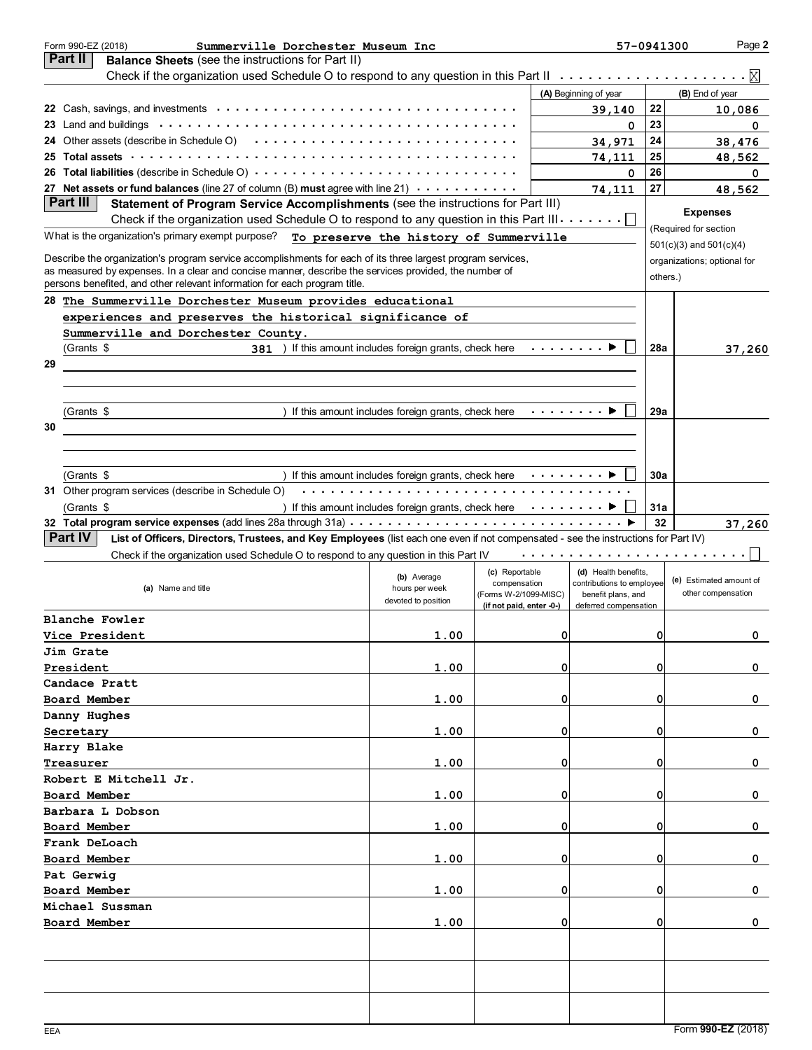| Summerville Dorchester Museum Inc<br>Form 990-EZ (2018)                                                                                                                            |                                                    |                                                     | 57-0941300                                  |          | Page 2                      |
|------------------------------------------------------------------------------------------------------------------------------------------------------------------------------------|----------------------------------------------------|-----------------------------------------------------|---------------------------------------------|----------|-----------------------------|
| <b>Part II</b><br>Balance Sheets (see the instructions for Part II)                                                                                                                |                                                    |                                                     |                                             |          |                             |
| Check if the organization used Schedule O to respond to any question in this Part II $\dots \dots \dots \dots \dots \dots \dots$                                                   |                                                    |                                                     |                                             |          |                             |
|                                                                                                                                                                                    |                                                    |                                                     | (A) Beginning of year                       |          | (B) End of year             |
|                                                                                                                                                                                    |                                                    |                                                     | 39,140                                      | 22       | 10,086                      |
|                                                                                                                                                                                    |                                                    |                                                     | 0                                           | 23       | 0                           |
| 24 Other assets (describe in Schedule O) $\cdots \cdots \cdots \cdots \cdots \cdots \cdots \cdots \cdots$                                                                          |                                                    |                                                     | 34,971                                      | 24       | 38,476                      |
| 25 Total assets enterpretation of the contract of the contract of the contract of the contract of the contract o                                                                   |                                                    |                                                     | 74,111                                      | 25       | 48,562                      |
| 26 Total liabilities (describe in Schedule O) $\cdots$                                                                                                                             |                                                    |                                                     | 0                                           | 26       | 0                           |
| 27 Net assets or fund balances (line 27 of column (B) must agree with line 21) $\cdots \cdots \cdots$                                                                              |                                                    |                                                     | 74,111                                      | 27       | 48,562                      |
| Part III<br>Statement of Program Service Accomplishments (see the instructions for Part III)                                                                                       |                                                    |                                                     |                                             |          | <b>Expenses</b>             |
| Check if the organization used Schedule O to respond to any question in this Part III. $\dots \dots \square$                                                                       |                                                    |                                                     |                                             |          | (Required for section       |
| What is the organization's primary exempt purpose?                                                                                                                                 | To preserve the history of Summerville             |                                                     |                                             |          | $501(c)(3)$ and $501(c)(4)$ |
| Describe the organization's program service accomplishments for each of its three largest program services,                                                                        |                                                    |                                                     |                                             |          | organizations; optional for |
| as measured by expenses. In a clear and concise manner, describe the services provided, the number of<br>persons benefited, and other relevant information for each program title. |                                                    |                                                     |                                             | others.) |                             |
| 28 The Summerville Dorchester Museum provides educational                                                                                                                          |                                                    |                                                     |                                             |          |                             |
| experiences and preserves the historical significance of                                                                                                                           |                                                    |                                                     |                                             |          |                             |
| Summerville and Dorchester County.                                                                                                                                                 |                                                    |                                                     |                                             |          |                             |
| 381 ) If this amount includes foreign grants, check here<br>(Grants \$                                                                                                             |                                                    |                                                     |                                             | 28a      | 37,260                      |
| 29                                                                                                                                                                                 |                                                    |                                                     |                                             |          |                             |
|                                                                                                                                                                                    |                                                    |                                                     |                                             |          |                             |
|                                                                                                                                                                                    |                                                    |                                                     |                                             |          |                             |
| (Grants \$                                                                                                                                                                         | If this amount includes foreign grants, check here | .                                                   |                                             | 29a      |                             |
| 30                                                                                                                                                                                 |                                                    |                                                     |                                             |          |                             |
|                                                                                                                                                                                    |                                                    |                                                     |                                             |          |                             |
|                                                                                                                                                                                    |                                                    |                                                     |                                             |          |                             |
| (Grants \$                                                                                                                                                                         | If this amount includes foreign grants, check here | .                                                   |                                             | 30a      |                             |
| 31 Other program services (describe in Schedule O)                                                                                                                                 |                                                    |                                                     |                                             |          |                             |
| (Grants \$                                                                                                                                                                         | If this amount includes foreign grants, check here | $\sim$ 100 km s $\sim$ 100 km s $^{-1}$             |                                             | 31a      |                             |
|                                                                                                                                                                                    |                                                    |                                                     |                                             | 32       | 37,260                      |
| Part IV<br>List of Officers, Directors, Trustees, and Key Employees (list each one even if not compensated - see the instructions for Part IV)                                     |                                                    |                                                     |                                             |          |                             |
| Check if the organization used Schedule O to respond to any question in this Part IV                                                                                               |                                                    |                                                     |                                             |          |                             |
|                                                                                                                                                                                    |                                                    | (c) Reportable                                      | (d) Health benefits,                        |          |                             |
| (a) Name and title                                                                                                                                                                 | (b) Average<br>hours per week                      | compensation                                        | contributions to employee                   |          | (e) Estimated amount of     |
|                                                                                                                                                                                    | devoted to position                                | (Forms W-2/1099-MISC)<br>(if not paid, enter $0$ -) | benefit plans, and<br>deferred compensation |          | other compensation          |
| Blanche Fowler                                                                                                                                                                     |                                                    |                                                     |                                             |          |                             |
| Vice President                                                                                                                                                                     | 1.00                                               | 0                                                   |                                             | 01       | 0                           |
| Jim Grate                                                                                                                                                                          |                                                    |                                                     |                                             |          |                             |
| President                                                                                                                                                                          | 1.00                                               | $\Omega$                                            |                                             | 0        | 0                           |
| Candace Pratt                                                                                                                                                                      |                                                    |                                                     |                                             |          |                             |
| Board Member                                                                                                                                                                       | 1.00                                               | $\Omega$                                            |                                             | 0        | 0                           |
| Danny Hughes                                                                                                                                                                       |                                                    |                                                     |                                             |          |                             |
| Secretary                                                                                                                                                                          | 1.00                                               | $\Omega$                                            |                                             | 0        | 0                           |
| Harry Blake                                                                                                                                                                        |                                                    |                                                     |                                             |          |                             |
| Treasurer                                                                                                                                                                          | 1.00                                               | $\Omega$                                            |                                             | 0        | 0                           |
| Robert E Mitchell Jr.                                                                                                                                                              |                                                    |                                                     |                                             |          |                             |
| Board Member                                                                                                                                                                       | 1.00                                               | $\Omega$                                            |                                             | 0        | 0                           |
| Barbara L Dobson                                                                                                                                                                   |                                                    |                                                     |                                             |          |                             |
| Board Member                                                                                                                                                                       | 1.00                                               | $\Omega$                                            |                                             | 0        | 0                           |
| Frank DeLoach                                                                                                                                                                      |                                                    |                                                     |                                             |          |                             |
| Board Member                                                                                                                                                                       | 1.00                                               | $\Omega$                                            |                                             | 0        | 0                           |
| Pat Gerwig                                                                                                                                                                         |                                                    |                                                     |                                             |          |                             |
| Board Member                                                                                                                                                                       | 1.00                                               | $\Omega$                                            |                                             | 0        | 0                           |
| Michael Sussman                                                                                                                                                                    |                                                    |                                                     |                                             |          |                             |
|                                                                                                                                                                                    |                                                    | $\Omega$                                            |                                             | 0        | 0                           |
| Board Member                                                                                                                                                                       | 1.00                                               |                                                     |                                             |          |                             |
|                                                                                                                                                                                    |                                                    |                                                     |                                             |          |                             |
|                                                                                                                                                                                    |                                                    |                                                     |                                             |          |                             |
|                                                                                                                                                                                    |                                                    |                                                     |                                             |          |                             |
|                                                                                                                                                                                    |                                                    |                                                     |                                             |          |                             |
|                                                                                                                                                                                    |                                                    |                                                     |                                             |          |                             |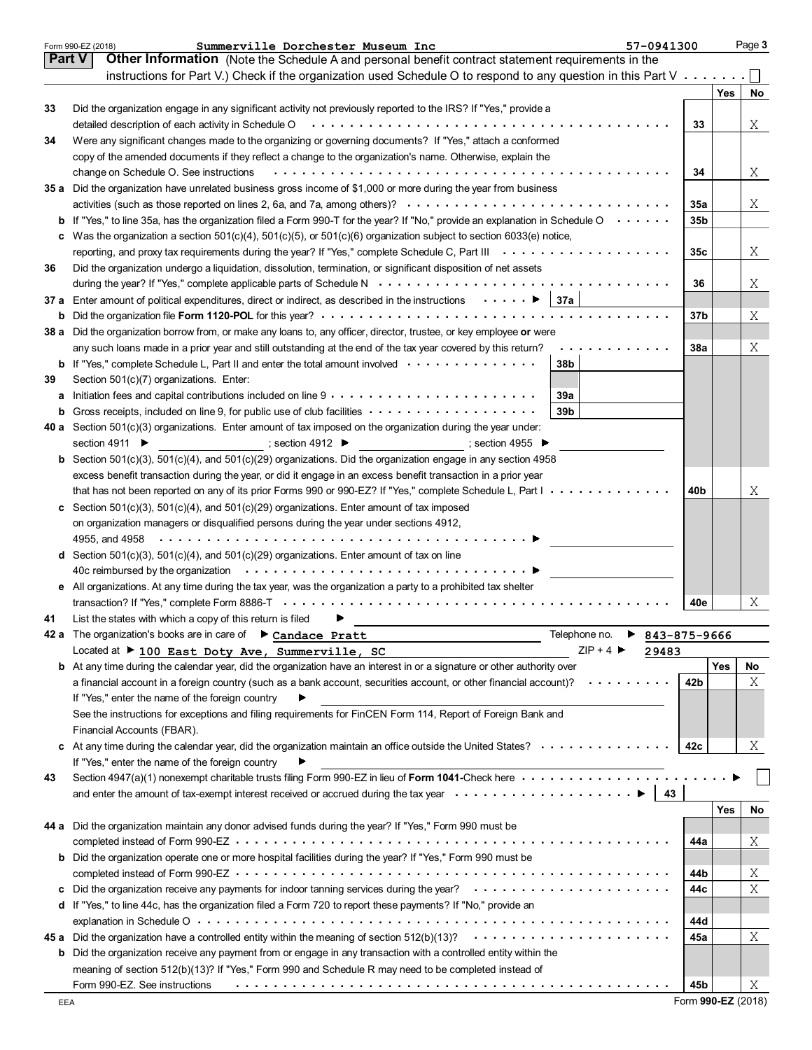|               | Summerville Dorchester Museum Inc<br>57-0941300<br>Form 990-EZ (2018)                                                                                                                                                          |                 |            | Page 3 |
|---------------|--------------------------------------------------------------------------------------------------------------------------------------------------------------------------------------------------------------------------------|-----------------|------------|--------|
| <b>Part V</b> | Other Information (Note the Schedule A and personal benefit contract statement requirements in the                                                                                                                             |                 |            |        |
|               | instructions for Part V.) Check if the organization used Schedule O to respond to any question in this Part V $\dots \dots$                                                                                                    |                 |            |        |
|               |                                                                                                                                                                                                                                |                 | <b>Yes</b> | No     |
| 33            | Did the organization engage in any significant activity not previously reported to the IRS? If "Yes," provide a                                                                                                                |                 |            |        |
|               | detailed description of each activity in Schedule O enter and substances of the set of the schedule of the schedule O and substances of the schedule of the schedule of the schedule of the schedule of the schedule of the sc | 33              |            | Χ      |
|               |                                                                                                                                                                                                                                |                 |            |        |
| 34            | Were any significant changes made to the organizing or governing documents? If "Yes," attach a conformed                                                                                                                       |                 |            |        |
|               | copy of the amended documents if they reflect a change to the organization's name. Otherwise, explain the                                                                                                                      |                 |            |        |
|               | change on Schedule O. See instructions                                                                                                                                                                                         | 34              |            | X      |
|               | 35 a Did the organization have unrelated business gross income of \$1,000 or more during the year from business                                                                                                                |                 |            |        |
|               |                                                                                                                                                                                                                                | <b>35a</b>      |            | X      |
|               | <b>b</b> If "Yes," to line 35a, has the organization filed a Form 990-T for the year? If "No," provide an explanation in Schedule O $\cdots \cdots$                                                                            | 35 <sub>b</sub> |            |        |
|               | c Was the organization a section $501(c)(4)$ , $501(c)(5)$ , or $501(c)(6)$ organization subject to section 6033(e) notice,                                                                                                    |                 |            |        |
|               |                                                                                                                                                                                                                                | 35c             |            | X      |
| 36            | Did the organization undergo a liquidation, dissolution, termination, or significant disposition of net assets                                                                                                                 |                 |            |        |
|               |                                                                                                                                                                                                                                | 36              |            | Χ      |
|               | 37 a Enter amount of political expenditures, direct or indirect, as described in the instructions $\cdots \cdots$ $\blacktriangleright$ 37a                                                                                    |                 |            |        |
|               |                                                                                                                                                                                                                                | 37 <sub>b</sub> |            | Χ      |
|               | 38 a Did the organization borrow from, or make any loans to, any officer, director, trustee, or key employee or were                                                                                                           |                 |            |        |
|               | .                                                                                                                                                                                                                              |                 |            |        |
|               | any such loans made in a prior year and still outstanding at the end of the tax year covered by this return?                                                                                                                   | <b>38a</b>      |            | Χ      |
|               | <b>b</b> If "Yes," complete Schedule L, Part II and enter the total amount involved<br>38 <sub>b</sub>                                                                                                                         |                 |            |        |
| 39            | Section 501(c)(7) organizations. Enter:                                                                                                                                                                                        |                 |            |        |
|               | 39a                                                                                                                                                                                                                            |                 |            |        |
|               | 39 <sub>b</sub>                                                                                                                                                                                                                |                 |            |        |
|               | 40 a Section 501(c)(3) organizations. Enter amount of tax imposed on the organization during the year under:                                                                                                                   |                 |            |        |
|               | section 4911 $\blacktriangleright$<br>; section 4912 $\blacktriangleright$<br>; section 4955 $\blacktriangleright$                                                                                                             |                 |            |        |
|               | <b>b</b> Section 501(c)(3), 501(c)(4), and 501(c)(29) organizations. Did the organization engage in any section 4958                                                                                                           |                 |            |        |
|               | excess benefit transaction during the year, or did it engage in an excess benefit transaction in a prior year                                                                                                                  |                 |            |        |
|               | that has not been reported on any of its prior Forms 990 or 990-EZ? If "Yes," complete Schedule L, Part I                                                                                                                      | 40b             |            | Χ      |
|               | c Section 501(c)(3), 501(c)(4), and 501(c)(29) organizations. Enter amount of tax imposed                                                                                                                                      |                 |            |        |
|               | on organization managers or disqualified persons during the year under sections 4912,                                                                                                                                          |                 |            |        |
|               |                                                                                                                                                                                                                                |                 |            |        |
|               | d Section 501(c)(3), 501(c)(4), and 501(c)(29) organizations. Enter amount of tax on line                                                                                                                                      |                 |            |        |
|               | 40c reimbursed by the organization (a) and a content of the organization (a) and a content of the organization                                                                                                                 |                 |            |        |
|               | e All organizations. At any time during the tax year, was the organization a party to a prohibited tax shelter                                                                                                                 |                 |            |        |
|               |                                                                                                                                                                                                                                | 40e             |            | Χ      |
|               |                                                                                                                                                                                                                                |                 |            |        |
| 41            | List the states with which a copy of this return is filed<br>Telephone no.                                                                                                                                                     |                 |            |        |
|               | 42 a The organization's books are in care of Candace Pratt<br>843-875-9666<br>▶                                                                                                                                                |                 |            |        |
|               | $ZIP + 4$<br>Located at ▶ 100 East Doty Ave, Summerville, SC<br>29483                                                                                                                                                          |                 |            |        |
|               | <b>b</b> At any time during the calendar year, did the organization have an interest in or a signature or other authority over                                                                                                 |                 | Yes        | No     |
|               | a financial account in a foreign country (such as a bank account, securities account, or other financial account)? $\cdots \cdots \cdots$                                                                                      | 42b             |            | Χ      |
|               | If "Yes," enter the name of the foreign country                                                                                                                                                                                |                 |            |        |
|               | See the instructions for exceptions and filing requirements for FinCEN Form 114, Report of Foreign Bank and                                                                                                                    |                 |            |        |
|               | Financial Accounts (FBAR).                                                                                                                                                                                                     |                 |            |        |
|               | c At any time during the calendar year, did the organization maintain an office outside the United States?                                                                                                                     | 42c             |            | Χ      |
|               | If "Yes," enter the name of the foreign country                                                                                                                                                                                |                 |            |        |
| 43            | Section 4947(a)(1) nonexempt charitable trusts filing Form 990-EZ in lieu of Form 1041-Check here                                                                                                                              |                 |            |        |
|               | $\vert$ 43                                                                                                                                                                                                                     |                 |            |        |
|               |                                                                                                                                                                                                                                |                 | <b>Yes</b> | No     |
|               | 44 a Did the organization maintain any donor advised funds during the year? If "Yes," Form 990 must be                                                                                                                         |                 |            |        |
|               |                                                                                                                                                                                                                                | 44a             |            | Χ      |
|               | b Did the organization operate one or more hospital facilities during the year? If "Yes," Form 990 must be                                                                                                                     |                 |            |        |
|               |                                                                                                                                                                                                                                | 44b             |            |        |
|               |                                                                                                                                                                                                                                |                 |            | Χ<br>X |
|               |                                                                                                                                                                                                                                | 44c             |            |        |
|               | d If "Yes," to line 44c, has the organization filed a Form 720 to report these payments? If "No," provide an                                                                                                                   |                 |            |        |
|               |                                                                                                                                                                                                                                | 44d             |            |        |
|               |                                                                                                                                                                                                                                | 45a             |            | Χ      |
|               | <b>b</b> Did the organization receive any payment from or engage in any transaction with a controlled entity within the                                                                                                        |                 |            |        |
|               | meaning of section 512(b)(13)? If "Yes," Form 990 and Schedule R may need to be completed instead of                                                                                                                           |                 |            |        |
|               | Form 990-EZ. See instructions                                                                                                                                                                                                  | 45b             |            | Χ      |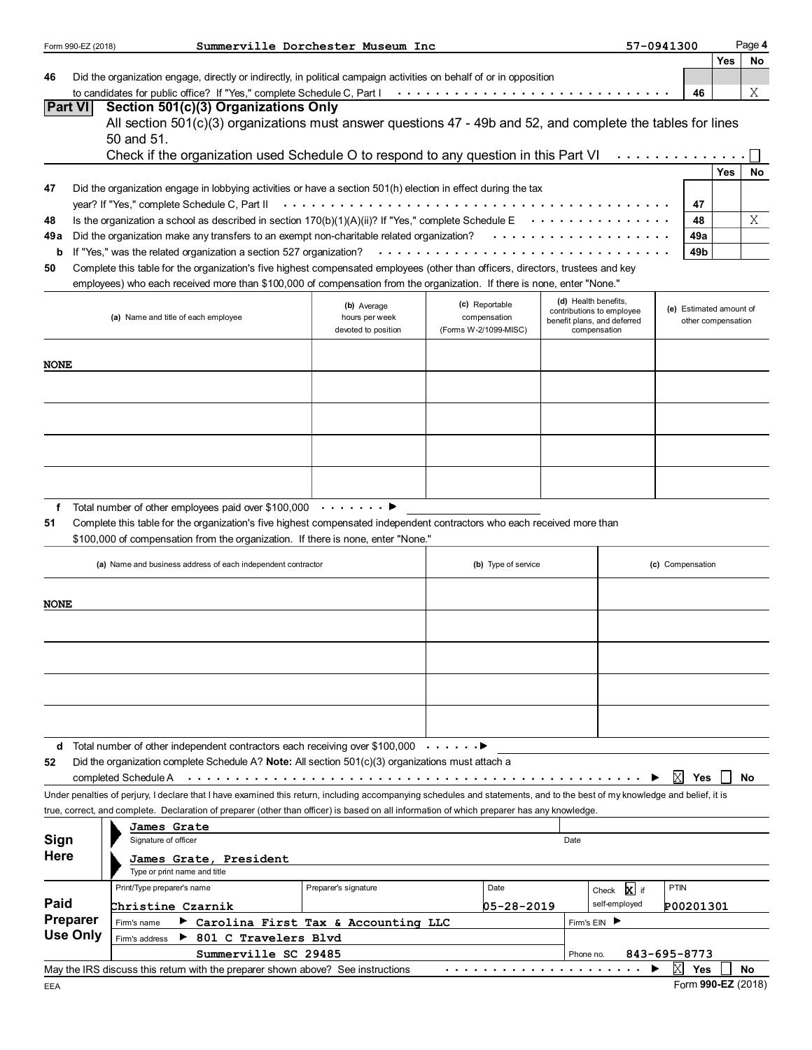|                                                                                                                                                       | Form 990-EZ (2018) |                                                                                                                                                                            | Summerville Dorchester Museum Inc                    |  |                                                         |           |                                                                                                  | 57-0941300              |                    | Page 4 |
|-------------------------------------------------------------------------------------------------------------------------------------------------------|--------------------|----------------------------------------------------------------------------------------------------------------------------------------------------------------------------|------------------------------------------------------|--|---------------------------------------------------------|-----------|--------------------------------------------------------------------------------------------------|-------------------------|--------------------|--------|
|                                                                                                                                                       |                    |                                                                                                                                                                            |                                                      |  |                                                         |           |                                                                                                  |                         | <b>Yes</b>         | No     |
| 46                                                                                                                                                    |                    | Did the organization engage, directly or indirectly, in political campaign activities on behalf of or in opposition                                                        |                                                      |  |                                                         |           |                                                                                                  |                         |                    |        |
|                                                                                                                                                       |                    |                                                                                                                                                                            |                                                      |  |                                                         |           |                                                                                                  | 46                      |                    | Χ      |
|                                                                                                                                                       | Part VI            | Section 501(c)(3) Organizations Only<br>All section 501(c)(3) organizations must answer questions 47 - 49b and 52, and complete the tables for lines<br>50 and 51.         |                                                      |  |                                                         |           |                                                                                                  |                         |                    |        |
|                                                                                                                                                       |                    | Check if the organization used Schedule O to respond to any question in this Part VI                                                                                       |                                                      |  |                                                         |           |                                                                                                  |                         |                    |        |
|                                                                                                                                                       |                    |                                                                                                                                                                            |                                                      |  |                                                         |           |                                                                                                  |                         | <b>Yes</b>         | No     |
| 47                                                                                                                                                    |                    | Did the organization engage in lobbying activities or have a section 501(h) election in effect during the tax                                                              |                                                      |  |                                                         |           |                                                                                                  |                         |                    |        |
|                                                                                                                                                       |                    | year? If "Yes," complete Schedule C, Part II                                                                                                                               |                                                      |  |                                                         |           |                                                                                                  | 47                      |                    |        |
| Is the organization a school as described in section 170(b)(1)(A)(ii)? If "Yes," complete Schedule E<br>$\sim$ 100 km s $\sim$ 100 km s $^{-1}$<br>48 |                    |                                                                                                                                                                            |                                                      |  |                                                         |           |                                                                                                  | 48                      |                    | Χ      |
| 49 a                                                                                                                                                  |                    | Did the organization make any transfers to an exempt non-charitable related organization?                                                                                  |                                                      |  |                                                         |           |                                                                                                  | 49a                     |                    |        |
| If "Yes," was the related organization a section 527 organization?<br>49b<br>b                                                                        |                    |                                                                                                                                                                            |                                                      |  |                                                         |           |                                                                                                  |                         |                    |        |
| 50                                                                                                                                                    |                    | Complete this table for the organization's five highest compensated employees (other than officers, directors, trustees and key                                            |                                                      |  |                                                         |           |                                                                                                  |                         |                    |        |
|                                                                                                                                                       |                    | employees) who each received more than \$100,000 of compensation from the organization. If there is none, enter "None."                                                    |                                                      |  |                                                         |           |                                                                                                  |                         |                    |        |
|                                                                                                                                                       |                    | (a) Name and title of each employee                                                                                                                                        | (b) Average<br>hours per week<br>devoted to position |  | (c) Reportable<br>compensation<br>(Forms W-2/1099-MISC) |           | (d) Health benefits,<br>contributions to employee<br>benefit plans, and deferred<br>compensation | (e) Estimated amount of | other compensation |        |
| <b>NONE</b>                                                                                                                                           |                    |                                                                                                                                                                            |                                                      |  |                                                         |           |                                                                                                  |                         |                    |        |
|                                                                                                                                                       |                    |                                                                                                                                                                            |                                                      |  |                                                         |           |                                                                                                  |                         |                    |        |
|                                                                                                                                                       |                    |                                                                                                                                                                            |                                                      |  |                                                         |           |                                                                                                  |                         |                    |        |
|                                                                                                                                                       |                    |                                                                                                                                                                            |                                                      |  |                                                         |           |                                                                                                  |                         |                    |        |
|                                                                                                                                                       |                    |                                                                                                                                                                            |                                                      |  |                                                         |           |                                                                                                  |                         |                    |        |
|                                                                                                                                                       |                    |                                                                                                                                                                            |                                                      |  |                                                         |           |                                                                                                  |                         |                    |        |
|                                                                                                                                                       |                    | Total number of other employees paid over \$100,000 $\cdots \cdots$                                                                                                        |                                                      |  |                                                         |           |                                                                                                  |                         |                    |        |
| f                                                                                                                                                     |                    | Complete this table for the organization's five highest compensated independent contractors who each received more than                                                    |                                                      |  |                                                         |           |                                                                                                  |                         |                    |        |
| 51                                                                                                                                                    |                    | \$100,000 of compensation from the organization. If there is none, enter "None."                                                                                           |                                                      |  |                                                         |           |                                                                                                  |                         |                    |        |
|                                                                                                                                                       |                    |                                                                                                                                                                            |                                                      |  |                                                         |           |                                                                                                  |                         |                    |        |
|                                                                                                                                                       |                    | (a) Name and business address of each independent contractor                                                                                                               |                                                      |  | (b) Type of service                                     |           |                                                                                                  | (c) Compensation        |                    |        |
| <b>NONE</b>                                                                                                                                           |                    |                                                                                                                                                                            |                                                      |  |                                                         |           |                                                                                                  |                         |                    |        |
|                                                                                                                                                       |                    |                                                                                                                                                                            |                                                      |  |                                                         |           |                                                                                                  |                         |                    |        |
|                                                                                                                                                       |                    |                                                                                                                                                                            |                                                      |  |                                                         |           |                                                                                                  |                         |                    |        |
|                                                                                                                                                       |                    |                                                                                                                                                                            |                                                      |  |                                                         |           |                                                                                                  |                         |                    |        |
|                                                                                                                                                       |                    |                                                                                                                                                                            |                                                      |  |                                                         |           |                                                                                                  |                         |                    |        |
|                                                                                                                                                       |                    |                                                                                                                                                                            |                                                      |  |                                                         |           |                                                                                                  |                         |                    |        |
|                                                                                                                                                       |                    | <b>d</b> Total number of other independent contractors each receiving over \$100,000 $\cdots \cdots$                                                                       |                                                      |  |                                                         |           |                                                                                                  |                         |                    |        |
| 52                                                                                                                                                    |                    | Did the organization complete Schedule A? <b>Note:</b> All section $501(c)(3)$ organizations must attach a                                                                 |                                                      |  |                                                         |           |                                                                                                  |                         |                    |        |
|                                                                                                                                                       |                    | completed Schedule A                                                                                                                                                       |                                                      |  |                                                         |           |                                                                                                  | X<br><b>Yes</b>         |                    | No     |
|                                                                                                                                                       |                    | Under penalties of perjury, I declare that I have examined this return, including accompanying schedules and statements, and to the best of my knowledge and belief, it is |                                                      |  |                                                         |           |                                                                                                  |                         |                    |        |
|                                                                                                                                                       |                    | true, correct, and complete. Declaration of preparer (other than officer) is based on all information of which preparer has any knowledge.                                 |                                                      |  |                                                         |           |                                                                                                  |                         |                    |        |
|                                                                                                                                                       |                    | James Grate                                                                                                                                                                |                                                      |  |                                                         |           |                                                                                                  |                         |                    |        |
| Sign                                                                                                                                                  |                    | Signature of officer                                                                                                                                                       |                                                      |  |                                                         | Date      |                                                                                                  |                         |                    |        |
| <b>Here</b>                                                                                                                                           |                    | James Grate, President<br>Type or print name and title                                                                                                                     |                                                      |  |                                                         |           |                                                                                                  |                         |                    |        |
|                                                                                                                                                       |                    | Print/Type preparer's name                                                                                                                                                 | Preparer's signature                                 |  | Date                                                    |           | Check X if                                                                                       | <b>PTIN</b>             |                    |        |
| Paid                                                                                                                                                  |                    | Christine Czarnik                                                                                                                                                          |                                                      |  | 05-28-2019                                              |           | self-employed                                                                                    | P00201301               |                    |        |
|                                                                                                                                                       | <b>Preparer</b>    | Carolina First Tax & Accounting LLC<br>Firm's name                                                                                                                         |                                                      |  |                                                         |           | Firm's EIN ▶                                                                                     |                         |                    |        |
|                                                                                                                                                       | <b>Use Only</b>    | ▶ 801 C Travelers Blvd<br>Firm's address                                                                                                                                   |                                                      |  |                                                         |           |                                                                                                  |                         |                    |        |
|                                                                                                                                                       |                    | Summerville SC 29485                                                                                                                                                       |                                                      |  |                                                         | Phone no. |                                                                                                  | 843-695-8773            |                    |        |
|                                                                                                                                                       |                    | May the IRS discuss this return with the preparer shown above? See instructions                                                                                            |                                                      |  |                                                         |           |                                                                                                  | X<br>Yes                |                    | No     |
|                                                                                                                                                       |                    |                                                                                                                                                                            |                                                      |  |                                                         |           |                                                                                                  | $Form$ 990-F7 (2018)    |                    |        |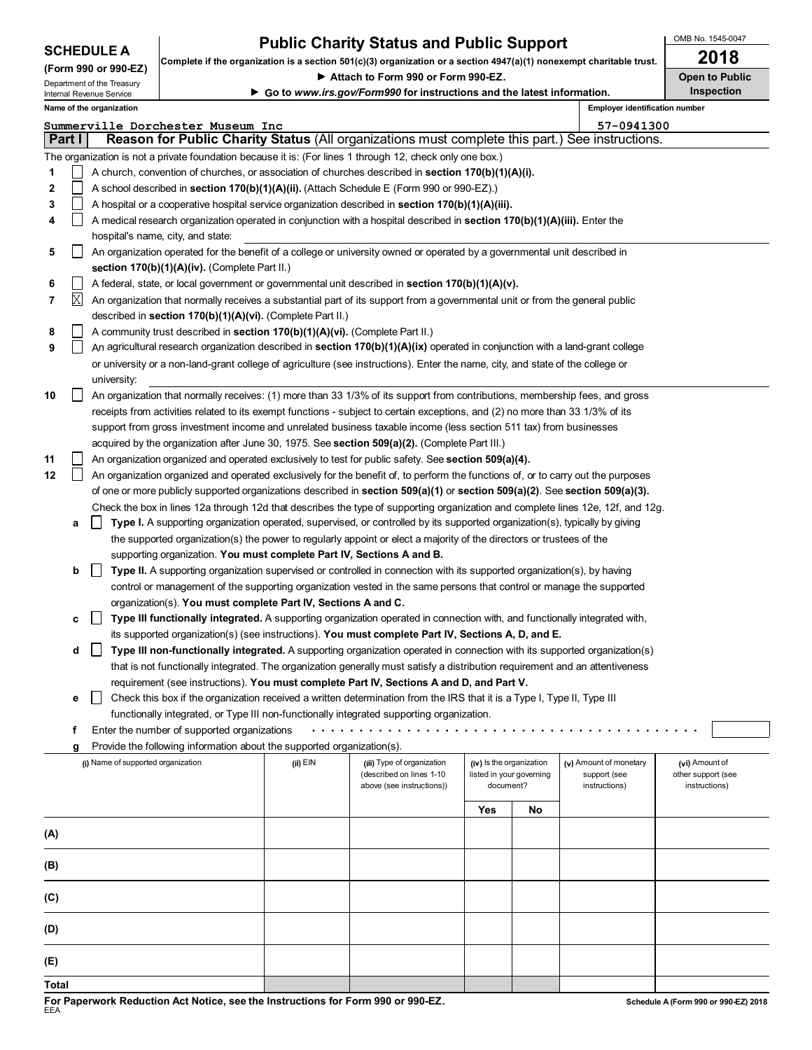|  |  | <b>SCHEDULE A</b> |
|--|--|-------------------|
|--|--|-------------------|

## **Public Charity Status and Public Support**  $\begin{array}{r} \big\vert \text{OMB No. 1545-00} \\ \text{OMB} \text{ No. 144} \end{array}$

OMB No. 1545-0047

|                                                        |        |                                    | Complete if the organization is a section 501(c)(3) organization or a section 4947(a)(1) nonexempt charitable trust. |                                                                          |                                                                                                                                     |                          |                       |                                | ZUIO               |               |  |
|--------------------------------------------------------|--------|------------------------------------|----------------------------------------------------------------------------------------------------------------------|--------------------------------------------------------------------------|-------------------------------------------------------------------------------------------------------------------------------------|--------------------------|-----------------------|--------------------------------|--------------------|---------------|--|
| (Form 990 or 990-EZ)                                   |        | Attach to Form 990 or Form 990-EZ. |                                                                                                                      |                                                                          |                                                                                                                                     |                          | <b>Open to Public</b> |                                |                    |               |  |
| Department of the Treasury<br>Internal Revenue Service |        |                                    |                                                                                                                      | ► Go to www.irs.gov/Form990 for instructions and the latest information. |                                                                                                                                     |                          |                       |                                | <b>Inspection</b>  |               |  |
|                                                        |        | Name of the organization           |                                                                                                                      |                                                                          |                                                                                                                                     |                          |                       | Employer identification number |                    |               |  |
|                                                        |        |                                    | Summerville Dorchester Museum Inc                                                                                    |                                                                          |                                                                                                                                     |                          |                       | 57-0941300                     |                    |               |  |
|                                                        | Part I |                                    |                                                                                                                      |                                                                          | Reason for Public Charity Status (All organizations must complete this part.) See instructions.                                     |                          |                       |                                |                    |               |  |
|                                                        |        |                                    |                                                                                                                      |                                                                          | The organization is not a private foundation because it is: (For lines 1 through 12, check only one box.)                           |                          |                       |                                |                    |               |  |
|                                                        |        |                                    |                                                                                                                      |                                                                          | A church, convention of churches, or association of churches described in section 170(b)(1)(A)(i).                                  |                          |                       |                                |                    |               |  |
| 1                                                      |        |                                    |                                                                                                                      |                                                                          |                                                                                                                                     |                          |                       |                                |                    |               |  |
| 2                                                      |        |                                    |                                                                                                                      |                                                                          | A school described in section 170(b)(1)(A)(ii). (Attach Schedule E (Form 990 or 990-EZ).)                                           |                          |                       |                                |                    |               |  |
| З                                                      |        |                                    |                                                                                                                      |                                                                          | A hospital or a cooperative hospital service organization described in section 170(b)(1)(A)(iii).                                   |                          |                       |                                |                    |               |  |
| 4                                                      |        |                                    |                                                                                                                      |                                                                          | A medical research organization operated in conjunction with a hospital described in section 170(b)(1)(A)(iii). Enter the           |                          |                       |                                |                    |               |  |
|                                                        |        |                                    | hospital's name, city, and state:                                                                                    |                                                                          |                                                                                                                                     |                          |                       |                                |                    |               |  |
| 5                                                      |        |                                    |                                                                                                                      |                                                                          | An organization operated for the benefit of a college or university owned or operated by a governmental unit described in           |                          |                       |                                |                    |               |  |
|                                                        |        |                                    | section 170(b)(1)(A)(iv). (Complete Part II.)                                                                        |                                                                          |                                                                                                                                     |                          |                       |                                |                    |               |  |
| 6                                                      |        |                                    |                                                                                                                      |                                                                          | A federal, state, or local government or governmental unit described in section 170(b)(1)(A)(v).                                    |                          |                       |                                |                    |               |  |
| 7                                                      | Χ      |                                    |                                                                                                                      |                                                                          | An organization that normally receives a substantial part of its support from a governmental unit or from the general public        |                          |                       |                                |                    |               |  |
|                                                        |        |                                    | described in section 170(b)(1)(A)(vi). (Complete Part II.)                                                           |                                                                          |                                                                                                                                     |                          |                       |                                |                    |               |  |
| 8                                                      |        |                                    | A community trust described in section 170(b)(1)(A)(vi). (Complete Part II.)                                         |                                                                          |                                                                                                                                     |                          |                       |                                |                    |               |  |
| 9                                                      |        |                                    |                                                                                                                      |                                                                          | An agricultural research organization described in section $170(b)(1)(A)(ix)$ operated in conjunction with a land-grant college     |                          |                       |                                |                    |               |  |
|                                                        |        |                                    |                                                                                                                      |                                                                          | or university or a non-land-grant college of agriculture (see instructions). Enter the name, city, and state of the college or      |                          |                       |                                |                    |               |  |
|                                                        |        | university:                        |                                                                                                                      |                                                                          |                                                                                                                                     |                          |                       |                                |                    |               |  |
| 10                                                     |        |                                    |                                                                                                                      |                                                                          | An organization that normally receives: (1) more than 33 1/3% of its support from contributions, membership fees, and gross         |                          |                       |                                |                    |               |  |
|                                                        |        |                                    |                                                                                                                      |                                                                          | receipts from activities related to its exempt functions - subject to certain exceptions, and (2) no more than 33 1/3% of its       |                          |                       |                                |                    |               |  |
|                                                        |        |                                    |                                                                                                                      |                                                                          | support from gross investment income and unrelated business taxable income (less section 511 tax) from businesses                   |                          |                       |                                |                    |               |  |
|                                                        |        |                                    |                                                                                                                      |                                                                          | acquired by the organization after June 30, 1975. See section 509(a)(2). (Complete Part III.)                                       |                          |                       |                                |                    |               |  |
| 11                                                     |        |                                    |                                                                                                                      |                                                                          | An organization organized and operated exclusively to test for public safety. See section 509(a)(4).                                |                          |                       |                                |                    |               |  |
| 12                                                     |        |                                    |                                                                                                                      |                                                                          | An organization organized and operated exclusively for the benefit of, to perform the functions of, or to carry out the purposes    |                          |                       |                                |                    |               |  |
|                                                        |        |                                    |                                                                                                                      |                                                                          | of one or more publicly supported organizations described in section $509(a)(1)$ or section $509(a)(2)$ . See section $509(a)(3)$ . |                          |                       |                                |                    |               |  |
|                                                        |        |                                    |                                                                                                                      |                                                                          | Check the box in lines 12a through 12d that describes the type of supporting organization and complete lines 12e, 12f, and 12g.     |                          |                       |                                |                    |               |  |
|                                                        | а      |                                    |                                                                                                                      |                                                                          | Type I. A supporting organization operated, supervised, or controlled by its supported organization(s), typically by giving         |                          |                       |                                |                    |               |  |
|                                                        |        |                                    |                                                                                                                      |                                                                          | the supported organization(s) the power to regularly appoint or elect a majority of the directors or trustees of the                |                          |                       |                                |                    |               |  |
|                                                        |        |                                    | supporting organization. You must complete Part IV, Sections A and B.                                                |                                                                          |                                                                                                                                     |                          |                       |                                |                    |               |  |
|                                                        | b      | ΙI                                 |                                                                                                                      |                                                                          | Type II. A supporting organization supervised or controlled in connection with its supported organization(s), by having             |                          |                       |                                |                    |               |  |
|                                                        |        |                                    |                                                                                                                      |                                                                          | control or management of the supporting organization vested in the same persons that control or manage the supported                |                          |                       |                                |                    |               |  |
|                                                        |        |                                    | organization(s). You must complete Part IV, Sections A and C.                                                        |                                                                          |                                                                                                                                     |                          |                       |                                |                    |               |  |
|                                                        | c      |                                    |                                                                                                                      |                                                                          | Type III functionally integrated. A supporting organization operated in connection with, and functionally integrated with,          |                          |                       |                                |                    |               |  |
|                                                        |        |                                    |                                                                                                                      |                                                                          | its supported organization(s) (see instructions). You must complete Part IV, Sections A, D, and E.                                  |                          |                       |                                |                    |               |  |
|                                                        |        |                                    |                                                                                                                      |                                                                          | Type III non-functionally integrated. A supporting organization operated in connection with its supported organization(s)           |                          |                       |                                |                    |               |  |
|                                                        |        |                                    |                                                                                                                      |                                                                          | that is not functionally integrated. The organization generally must satisfy a distribution requirement and an attentiveness        |                          |                       |                                |                    |               |  |
|                                                        |        |                                    |                                                                                                                      |                                                                          | requirement (see instructions). You must complete Part IV, Sections A and D, and Part V.                                            |                          |                       |                                |                    |               |  |
|                                                        | е      |                                    |                                                                                                                      |                                                                          | Check this box if the organization received a written determination from the IRS that it is a Type I, Type II, Type III             |                          |                       |                                |                    |               |  |
|                                                        |        |                                    |                                                                                                                      |                                                                          | functionally integrated, or Type III non-functionally integrated supporting organization.                                           |                          |                       |                                |                    |               |  |
|                                                        | f      |                                    | Enter the number of supported organizations                                                                          |                                                                          | .                                                                                                                                   |                          |                       |                                |                    |               |  |
|                                                        | g      |                                    | Provide the following information about the supported organization(s).                                               |                                                                          |                                                                                                                                     |                          |                       |                                |                    |               |  |
|                                                        |        | (i) Name of supported organization |                                                                                                                      | (ii) $EIN$                                                               | (iii) Type of organization                                                                                                          | (iv) Is the organization |                       | (v) Amount of monetary         | (vi) Amount of     |               |  |
|                                                        |        |                                    |                                                                                                                      |                                                                          | (described on lines 1-10                                                                                                            | listed in your governing |                       | support (see                   | other support (see |               |  |
|                                                        |        |                                    |                                                                                                                      |                                                                          | above (see instructions))                                                                                                           | document?                |                       | instructions)                  |                    | instructions) |  |
|                                                        |        |                                    |                                                                                                                      |                                                                          |                                                                                                                                     |                          |                       |                                |                    |               |  |
|                                                        |        |                                    |                                                                                                                      |                                                                          |                                                                                                                                     | Yes                      | No                    |                                |                    |               |  |
| (A)                                                    |        |                                    |                                                                                                                      |                                                                          |                                                                                                                                     |                          |                       |                                |                    |               |  |
|                                                        |        |                                    |                                                                                                                      |                                                                          |                                                                                                                                     |                          |                       |                                |                    |               |  |
| (B)                                                    |        |                                    |                                                                                                                      |                                                                          |                                                                                                                                     |                          |                       |                                |                    |               |  |
|                                                        |        |                                    |                                                                                                                      |                                                                          |                                                                                                                                     |                          |                       |                                |                    |               |  |
| (C)                                                    |        |                                    |                                                                                                                      |                                                                          |                                                                                                                                     |                          |                       |                                |                    |               |  |
|                                                        |        |                                    |                                                                                                                      |                                                                          |                                                                                                                                     |                          |                       |                                |                    |               |  |
| (D)                                                    |        |                                    |                                                                                                                      |                                                                          |                                                                                                                                     |                          |                       |                                |                    |               |  |
| (E)                                                    |        |                                    |                                                                                                                      |                                                                          |                                                                                                                                     |                          |                       |                                |                    |               |  |
|                                                        |        |                                    |                                                                                                                      |                                                                          |                                                                                                                                     |                          |                       |                                |                    |               |  |

**Total**